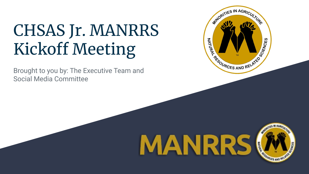# CHSAS Jr. MANRRS Kickoff Meeting

Brought to you by: The Executive Team and Social Media Committee



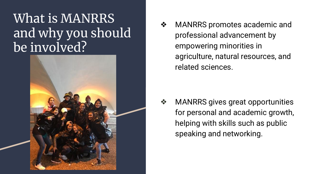#### What is MANRRS and why you should be involved?



❖ MANRRS promotes academic and professional advancement by empowering minorities in agriculture, natural resources, and related sciences.

❖ MANRRS gives great opportunities for personal and academic growth, helping with skills such as public speaking and networking.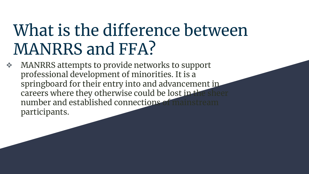## What is the difference between MANRRS and FFA?

❖ MANRRS attempts to provide networks to support professional development of minorities. It is a springboard for their entry into and advancement in careers where they otherwise could be lost in the shee number and established connections of mains participants.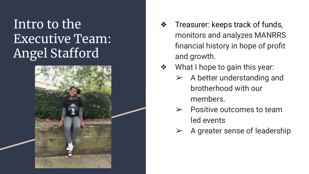### Intro to the Executive Team: Angel Stafford



- ❖ Treasurer: keeps track of funds, monitors and analyzes MANRRS financial history in hope of profit and growth.
- What I hope to gain this year:
	- $\triangleright$  A better understanding and brotherhood with our members.
	- ➢ Positive outcomes to team led events
	- ➢ A greater sense of leadership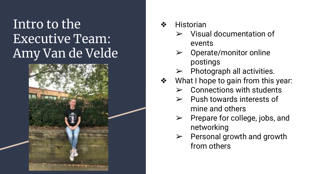### Intro to the Executive Team: Amy Van de Velde



#### **Historian**

- ➢ Visual documentation of events
- $\triangleright$  Operate/monitor online postings
- ➢ Photograph all activities.
- What I hope to gain from this year:
	- ➢ Connections with students
	- ➢ Push towards interests of mine and others
	- $\triangleright$  Prepare for college, jobs, and networking
	- $\triangleright$  Personal growth and growth from others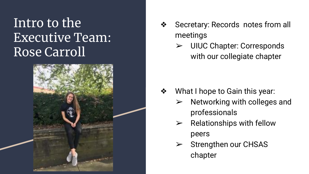#### Intro to the Executive Team: Rose Carroll



- Secretary: Records notes from all meetings
	- ➢ UIUC Chapter: Corresponds with our collegiate chapter

- ❖ What I hope to Gain this year:
	- $\triangleright$  Networking with colleges and professionals
	- $\triangleright$  Relationships with fellow peers
	- $\triangleright$  Strengthen our CHSAS chapter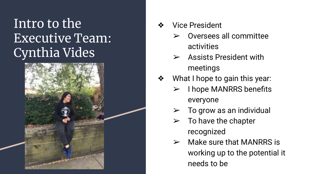#### Intro to the Executive Team: Cynthia Vides



- ❖ Vice President
	- ➢ Oversees all committee activities
	- $\triangleright$  Assists President with meetings
- What I hope to gain this year:
	- $\triangleright$  I hope MANRRS benefits everyone
	- $\triangleright$  To grow as an individual
	- $\triangleright$  To have the chapter recognized
	- $\triangleright$  Make sure that MANRRS is working up to the potential it needs to be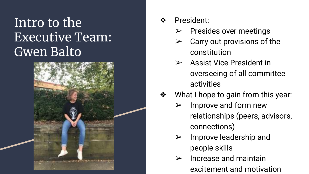### Intro to the Executive Team: Gwen Balto



- President:
	- ➢ Presides over meetings
	- ➢ Carry out provisions of the constitution
	- ➢ Assist Vice President in overseeing of all committee activities
- What I hope to gain from this year:
	- $\triangleright$  Improve and form new relationships (peers, advisors, connections)
	- $\triangleright$  Improve leadership and people skills
	- ➢ Increase and maintain excitement and motivation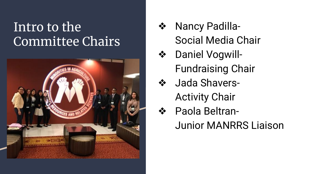#### Intro to the Committee Chairs



- Nancy Padilla-Social Media Chair
- ❖ Daniel Vogwill-Fundraising Chair
	- Jada Shavers-Activity Chair
- ❖ Paola Beltran-Junior MANRRS Liaison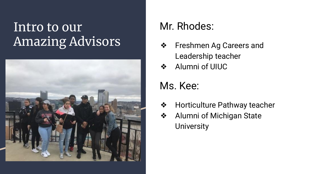#### Intro to our Amazing Advisors



#### Mr. Rhodes:

- ❖ Freshmen Ag Careers and Leadership teacher
- ❖ Alumni of UIUC

#### Ms. Kee:

- ❖ Horticulture Pathway teacher
- ❖ Alumni of Michigan State **University**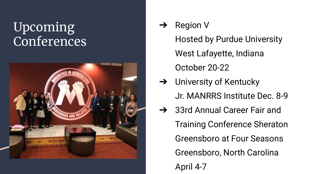#### Upcoming Conferences



➔ Region V

Hosted by Purdue University West Lafayette, Indiana October 20-22

- $\rightarrow$  University of Kentucky Jr. MANRRS Institute Dec. 8-9
- **→** 33rd Annual Career Fair and Training Conference Sheraton Greensboro at Four Seasons Greensboro, North Carolina April 4-7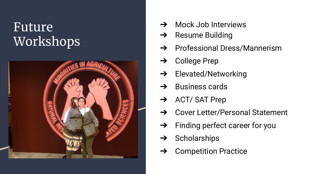#### Future Workshops



- **→** Mock Job Interviews
- $\rightarrow$  Resume Building
- **→** Professional Dress/Mannerism
- $\rightarrow$  College Prep
- ➔ Elevated/Networking
- $\rightarrow$  Business cards
- $\rightarrow$  ACT/ SAT Prep
- **→** Cover Letter/Personal Statement
- $\rightarrow$  Finding perfect career for you
- $\rightarrow$  Scholarships
- ➔ Competition Practice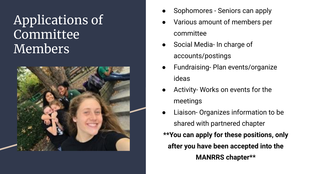### Applications of Committee Members



- Sophomores Seniors can apply
- Various amount of members per committee
- Social Media- In charge of accounts/postings
- Fundraising- Plan events/organize ideas
- Activity- Works on events for the meetings
- Liaison- Organizes information to be shared with partnered chapter **\*\*You can apply for these positions, only after you have been accepted into the MANRRS chapter\*\***